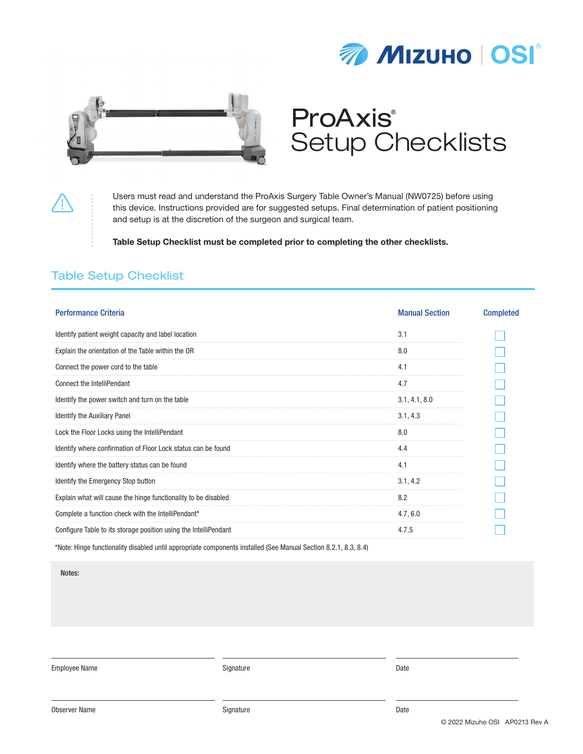



# ProAxis® Setup Checklists

Users must read and understand the ProAxis Surgery Table Owner's Manual (NW0725) before using this device. Instructions provided are for suggested setups. Final determination of patient positioning and setup is at the discretion of the surgeon and surgical team.

Table Setup Checklist must be completed prior to completing the other checklists.

#### Table Setup Checklist

| <b>Performance Criteria</b>                                      | <b>Manual Section</b> | <b>Completed</b> |
|------------------------------------------------------------------|-----------------------|------------------|
| Identify patient weight capacity and label location              | 3.1                   |                  |
| Explain the orientation of the Table within the OR               | 8.0                   |                  |
| Connect the power cord to the table                              | 4.1                   |                  |
| <b>Connect the IntelliPendant</b>                                | 4.7                   |                  |
| Identify the power switch and turn on the table                  | 3.1, 4.1, 8.0         |                  |
| <b>Identify the Auxiliary Panel</b>                              | 3.1, 4.3              |                  |
| Lock the Floor Locks using the IntelliPendant                    | 8.0                   |                  |
| Identify where confirmation of Floor Lock status can be found    | 4.4                   |                  |
| Identify where the battery status can be found                   | 4.1                   |                  |
| Identify the Emergency Stop button                               | 3.1, 4.2              |                  |
| Explain what will cause the hinge functionality to be disabled   | 8.2                   |                  |
| Complete a function check with the IntelliPendant*               | 4.7, 6.0              |                  |
| Configure Table to its storage position using the IntelliPendant | 4.7.5                 |                  |

\*Note: Hinge functionality disabled until appropriate components installed (See Manual Section 8.2.1, 8.3, 8.4)

Notes:

Employee Name Date Name Signature Signature Signature Constanting Date Date Date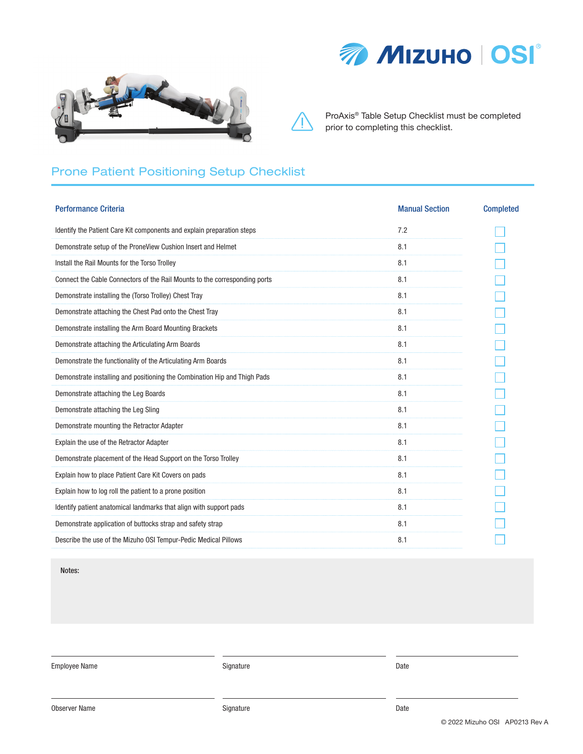



## Prone Patient Positioning Setup Checklist

| <b>Performance Criteria</b>                                                | <b>Manual Section</b> | <b>Completed</b> |
|----------------------------------------------------------------------------|-----------------------|------------------|
| Identify the Patient Care Kit components and explain preparation steps     | 7.2                   |                  |
| Demonstrate setup of the ProneView Cushion Insert and Helmet               | 8.1                   |                  |
| Install the Rail Mounts for the Torso Trolley                              | 8.1                   |                  |
| Connect the Cable Connectors of the Rail Mounts to the corresponding ports | 8.1                   |                  |
| Demonstrate installing the (Torso Trolley) Chest Tray                      | 8.1                   |                  |
| Demonstrate attaching the Chest Pad onto the Chest Tray                    | 8.1                   |                  |
| Demonstrate installing the Arm Board Mounting Brackets                     | 8.1                   |                  |
| Demonstrate attaching the Articulating Arm Boards                          | 8.1                   |                  |
| Demonstrate the functionality of the Articulating Arm Boards               | 8.1                   |                  |
| Demonstrate installing and positioning the Combination Hip and Thigh Pads  | 8.1                   |                  |
| Demonstrate attaching the Leg Boards                                       | 8.1                   |                  |
| Demonstrate attaching the Leg Sling                                        | 8.1                   |                  |
| Demonstrate mounting the Retractor Adapter                                 | 8.1                   |                  |
| Explain the use of the Retractor Adapter                                   | 8.1                   |                  |
| Demonstrate placement of the Head Support on the Torso Trolley             | 8.1                   |                  |
| Explain how to place Patient Care Kit Covers on pads                       | 8.1                   |                  |
| Explain how to log roll the patient to a prone position                    | 8.1                   |                  |
| Identify patient anatomical landmarks that align with support pads         | 8.1                   |                  |
| Demonstrate application of buttocks strap and safety strap                 | 8.1                   |                  |
| Describe the use of the Mizuho OSI Tempur-Pedic Medical Pillows            | 8.1                   |                  |

Notes:

Employee Name Date Controllers and Signature Signature Controllers and Date Controllers and Date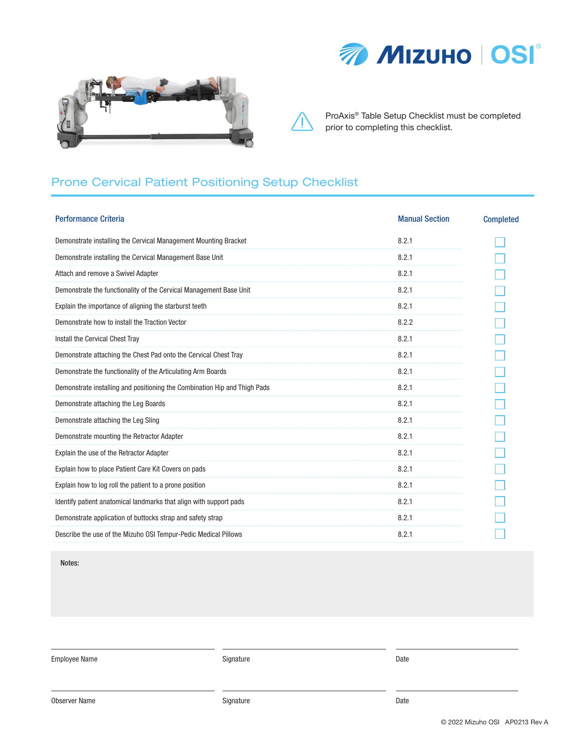



### Prone Cervical Patient Positioning Setup Checklist

| <b>Performance Criteria</b>                                               | <b>Manual Section</b> | <b>Completed</b> |
|---------------------------------------------------------------------------|-----------------------|------------------|
| Demonstrate installing the Cervical Management Mounting Bracket           | 8.2.1                 |                  |
| Demonstrate installing the Cervical Management Base Unit                  | 8.2.1                 |                  |
| Attach and remove a Swivel Adapter                                        | 8.2.1                 |                  |
| Demonstrate the functionality of the Cervical Management Base Unit        | 8.2.1                 |                  |
| Explain the importance of aligning the starburst teeth                    | 8.2.1                 |                  |
| Demonstrate how to install the Traction Vector                            | 8.2.2                 |                  |
| Install the Cervical Chest Tray                                           | 8.2.1                 |                  |
| Demonstrate attaching the Chest Pad onto the Cervical Chest Tray          | 8.2.1                 |                  |
| Demonstrate the functionality of the Articulating Arm Boards              | 8.2.1                 |                  |
| Demonstrate installing and positioning the Combination Hip and Thigh Pads | 8.2.1                 |                  |
| Demonstrate attaching the Leg Boards                                      | 8.2.1                 |                  |
| Demonstrate attaching the Leg Sling                                       | 8.2.1                 |                  |
| Demonstrate mounting the Retractor Adapter                                | 8.2.1                 |                  |
| Explain the use of the Retractor Adapter                                  | 8.2.1                 |                  |
| Explain how to place Patient Care Kit Covers on pads                      | 8.2.1                 |                  |
| Explain how to log roll the patient to a prone position                   | 8.2.1                 |                  |
| Identify patient anatomical landmarks that align with support pads        | 8.2.1                 |                  |
| Demonstrate application of buttocks strap and safety strap                | 8.2.1                 |                  |
| Describe the use of the Mizuho OSI Tempur-Pedic Medical Pillows           | 8.2.1                 |                  |

Notes:

Employee Name Date Contract Contract Contract Contract Contract Contract Contract Contract Contract Contract Contract Contract Contract Contract Contract Contract Contract Contract Contract Contract Contract Contract Contr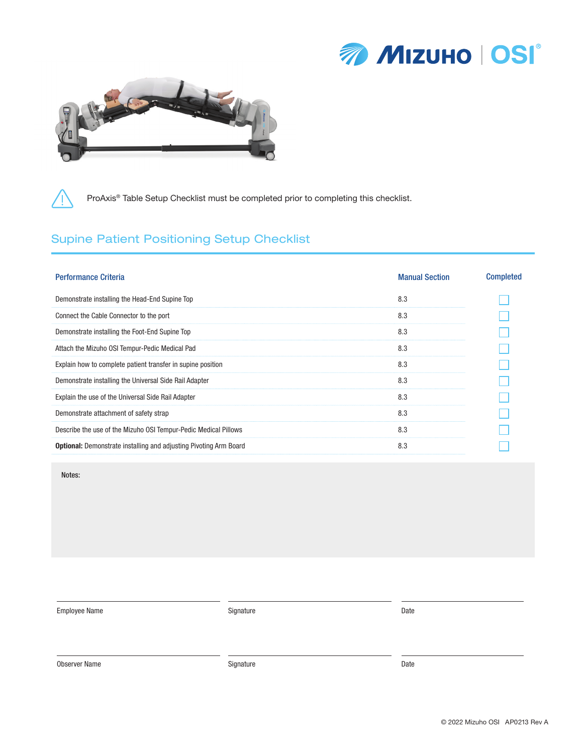



#### Supine Patient Positioning Setup Checklist

| <b>Performance Criteria</b>                                              | <b>Manual Section</b> | <b>Completed</b> |
|--------------------------------------------------------------------------|-----------------------|------------------|
| Demonstrate installing the Head-End Supine Top                           | 8.3                   |                  |
| Connect the Cable Connector to the port                                  | 8.3                   |                  |
| Demonstrate installing the Foot-End Supine Top                           | 8.3                   |                  |
| Attach the Mizuho OSI Tempur-Pedic Medical Pad                           | 8.3                   |                  |
| Explain how to complete patient transfer in supine position              | 8.3                   |                  |
| Demonstrate installing the Universal Side Rail Adapter                   | 8.3                   |                  |
| Explain the use of the Universal Side Rail Adapter                       | 8.3                   |                  |
| Demonstrate attachment of safety strap                                   | 8.3                   |                  |
| Describe the use of the Mizuho OSI Tempur-Pedic Medical Pillows          | 8.3                   |                  |
| <b>Optional:</b> Demonstrate installing and adjusting Pivoting Arm Board | 8.3                   |                  |

Notes:

Employee Name Date and Signature Signature Controller and Date of Date Date

Observer Name Date Date of Contract Contract Contract Contract Contract Contract Contract Contract Contract Contract Contract Contract Contract Contract Contract Contract Contract Contract Contract Contract Contract Contra